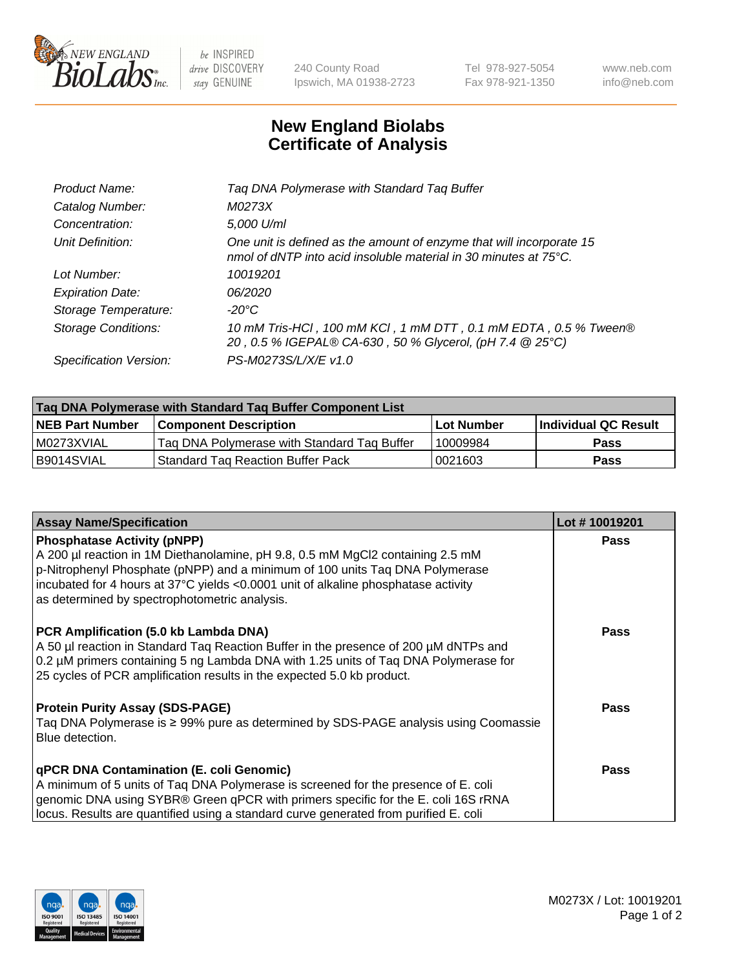

 $be$  INSPIRED drive DISCOVERY stay GENUINE

240 County Road Ipswich, MA 01938-2723 Tel 978-927-5054 Fax 978-921-1350 www.neb.com info@neb.com

## **New England Biolabs Certificate of Analysis**

| Product Name:              | Tag DNA Polymerase with Standard Tag Buffer                                                                                              |
|----------------------------|------------------------------------------------------------------------------------------------------------------------------------------|
| Catalog Number:            | M0273X                                                                                                                                   |
| Concentration:             | 5,000 U/ml                                                                                                                               |
| Unit Definition:           | One unit is defined as the amount of enzyme that will incorporate 15<br>nmol of dNTP into acid insoluble material in 30 minutes at 75°C. |
| Lot Number:                | 10019201                                                                                                                                 |
| <b>Expiration Date:</b>    | 06/2020                                                                                                                                  |
| Storage Temperature:       | $-20^{\circ}$ C                                                                                                                          |
| <b>Storage Conditions:</b> | 10 mM Tris-HCl, 100 mM KCl, 1 mM DTT, 0.1 mM EDTA, 0.5 % Tween®<br>20, 0.5 % IGEPAL® CA-630, 50 % Glycerol, (pH 7.4 @ 25°C)              |
| Specification Version:     | PS-M0273S/L/X/E v1.0                                                                                                                     |
|                            |                                                                                                                                          |

| Tag DNA Polymerase with Standard Tag Buffer Component List |                                             |                   |                      |  |
|------------------------------------------------------------|---------------------------------------------|-------------------|----------------------|--|
| <b>NEB Part Number</b>                                     | <b>Component Description</b>                | <b>Lot Number</b> | Individual QC Result |  |
| l M0273XVIAL                                               | Tag DNA Polymerase with Standard Tag Buffer | 10009984          | <b>Pass</b>          |  |
| B9014SVIAL                                                 | <b>Standard Tag Reaction Buffer Pack</b>    | 0021603           | <b>Pass</b>          |  |

| <b>Assay Name/Specification</b>                                                                                                                                                                                                                                                                                                             | Lot #10019201 |
|---------------------------------------------------------------------------------------------------------------------------------------------------------------------------------------------------------------------------------------------------------------------------------------------------------------------------------------------|---------------|
| <b>Phosphatase Activity (pNPP)</b><br>A 200 µl reaction in 1M Diethanolamine, pH 9.8, 0.5 mM MgCl2 containing 2.5 mM<br>p-Nitrophenyl Phosphate (pNPP) and a minimum of 100 units Taq DNA Polymerase<br>incubated for 4 hours at 37°C yields <0.0001 unit of alkaline phosphatase activity<br>as determined by spectrophotometric analysis. | <b>Pass</b>   |
| PCR Amplification (5.0 kb Lambda DNA)<br>A 50 µl reaction in Standard Tag Reaction Buffer in the presence of 200 µM dNTPs and<br>0.2 µM primers containing 5 ng Lambda DNA with 1.25 units of Taq DNA Polymerase for<br>25 cycles of PCR amplification results in the expected 5.0 kb product.                                              | Pass          |
| <b>Protein Purity Assay (SDS-PAGE)</b><br>Taq DNA Polymerase is ≥ 99% pure as determined by SDS-PAGE analysis using Coomassie<br>Blue detection.                                                                                                                                                                                            | Pass          |
| qPCR DNA Contamination (E. coli Genomic)<br>A minimum of 5 units of Taq DNA Polymerase is screened for the presence of E. coli<br>genomic DNA using SYBR® Green qPCR with primers specific for the E. coli 16S rRNA<br>locus. Results are quantified using a standard curve generated from purified E. coli                                 | Pass          |